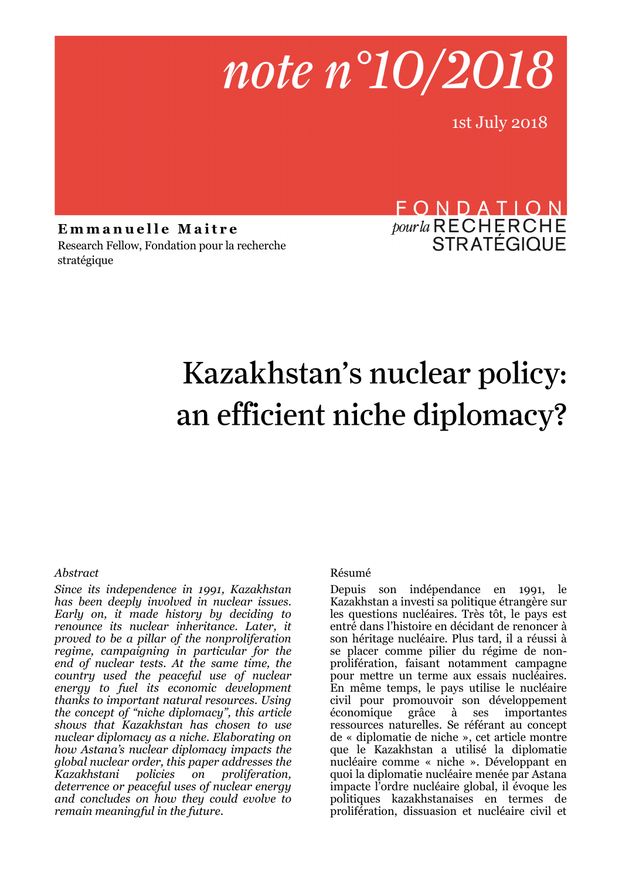# note n°10/2018

1st July 2018

**Emmanuelle Maitre** Research Fellow, Fondation pour la recherche stratégique

### FONDATION *pour la* RECHERCHE<br>STRATÉGIQUE

## Kazakhstan's nuclear policy: an efficient niche diplomacy?

#### *Abstract*

*Since its independence in 1991, Kazakhstan has been deeply involved in nuclear issues. Early on, it made history by deciding to renounce its nuclear inheritance. Later, it proved to be a pillar of the nonproliferation regime, campaigning in particular for the end of nuclear tests. At the same time, the country used the peaceful use of nuclear energy to fuel its economic development thanks to important natural resources. Using the concept of "niche diplomacy", this article shows that Kazakhstan has chosen to use nuclear diplomacy as a niche. Elaborating on how Astana's nuclear diplomacy impacts the global nuclear order, this paper addresses the Kazakhstani policies on proliferation, deterrence or peaceful uses of nuclear energy and concludes on how they could evolve to remain meaningful in the future*.

#### Résumé

Depuis son indépendance en 1991, le Kazakhstan a investi sa politique étrangère sur les questions nucléaires. Très tôt, le pays est entré dans l'histoire en décidant de renoncer à son héritage nucléaire. Plus tard, il a réussi à se placer comme pilier du régime de nonprolifération, faisant notamment campagne pour mettre un terme aux essais nucléaires. En même temps, le pays utilise le nucléaire civil pour promouvoir son développement économique grâce à ses importantes ressources naturelles. Se référant au concept de « diplomatie de niche », cet article montre que le Kazakhstan a utilisé la diplomatie nucléaire comme « niche ». Développant en quoi la diplomatie nucléaire menée par Astana impacte l'ordre nucléaire global, il évoque les politiques kazakhstanaises en termes de prolifération, dissuasion et nucléaire civil et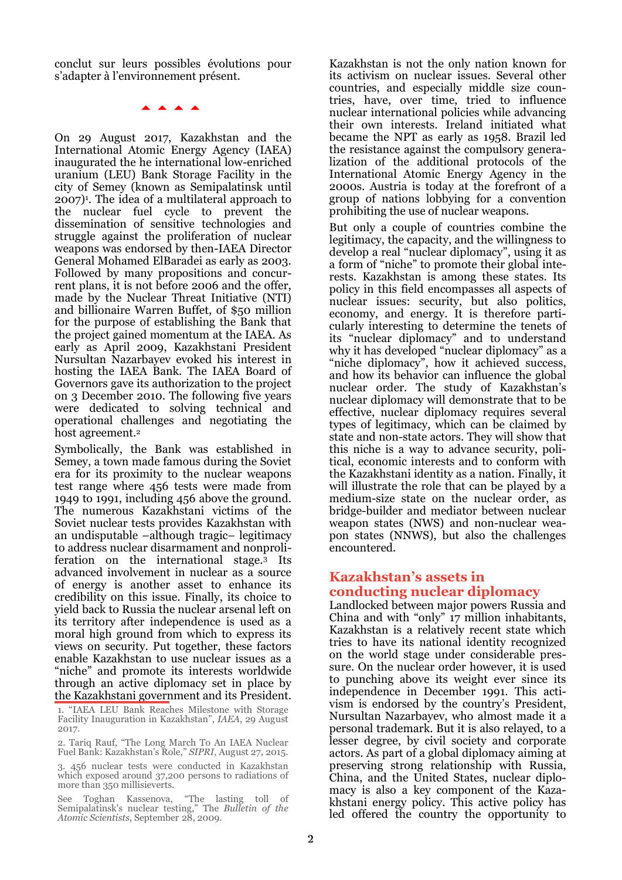conclut sur leurs possibles évolutions pour s'adapter à l'environnement présent.

**AAAA** 

On 29 August 2017, Kazakhstan and the International Atomic Energy Agency (IAEA) inaugurated the he international low-enriched uranium (LEU) Bank Storage Facility in the city of Semey (known as Semipalatinsk until 2007)<sup>1</sup> . The idea of a multilateral approach to the nuclear fuel cycle to prevent the dissemination of sensitive technologies and struggle against the proliferation of nuclear weapons was endorsed by then-IAEA Director General Mohamed ElBaradei as early as 2003. Followed by many propositions and concurrent plans, it is not before 2006 and the offer, made by the Nuclear Threat Initiative (NTI) and billionaire Warren Buffet, of \$50 million for the purpose of establishing the Bank that the project gained momentum at the IAEA. As early as April 2009, Kazakhstani President Nursultan Nazarbayev evoked his interest in hosting the IAEA Bank. The IAEA Board of Governors gave its authorization to the project on 3 December 2010. The following five years were dedicated to solving technical and operational challenges and negotiating the host agreement.<sup>2</sup>

Symbolically, the Bank was established in Semey, a town made famous during the Soviet era for its proximity to the nuclear weapons test range where 456 tests were made from 1949 to 1991, including 456 above the ground. The numerous Kazakhstani victims of the Soviet nuclear tests provides Kazakhstan with an undisputable –although tragic– legitimacy to address nuclear disarmament and nonproliferation on the international stage.<sup>3</sup> Its advanced involvement in nuclear as a source of energy is another asset to enhance its credibility on this issue. Finally, its choice to yield back to Russia the nuclear arsenal left on its territory after independence is used as a moral high ground from which to express its views on security. Put together, these factors enable Kazakhstan to use nuclear issues as a "niche" and promote its interests worldwide through an active diplomacy set in place by the Kazakhstani government and its President.

1. "IAEA LEU Bank Reaches Milestone with Storage Facility Inauguration in Kazakhstan", *IAEA*, 29 August 2017.

2. Tariq Rauf, "The Long March To An IAEA Nuclear Fuel Bank: Kazakhstan's Role," *SIPRI*, August 27, 2015.

3. 456 nuclear tests were conducted in Kazakhstan which exposed around 37,200 persons to radiations of more than 350 millisieverts.

See Toghan Kassenova, "The lasting toll of Semipalatinsk's nuclear testing," The *Bulletin of the Atomic Scientists*, September 28, 2009.

Kazakhstan is not the only nation known for its activism on nuclear issues. Several other countries, and especially middle size countries, have, over time, tried to influence nuclear international policies while advancing their own interests. Ireland initiated what became the NPT as early as 1958. Brazil led the resistance against the compulsory generalization of the additional protocols of the International Atomic Energy Agency in the 2000s. Austria is today at the forefront of a group of nations lobbying for a convention prohibiting the use of nuclear weapons.

But only a couple of countries combine the legitimacy, the capacity, and the willingness to develop a real "nuclear diplomacy", using it as a form of "niche" to promote their global interests. Kazakhstan is among these states. Its policy in this field encompasses all aspects of nuclear issues: security, but also politics, economy, and energy. It is therefore particularly interesting to determine the tenets of its "nuclear diplomacy" and to understand why it has developed "nuclear diplomacy" as a "niche diplomacy", how it achieved success, and how its behavior can influence the global nuclear order. The study of Kazakhstan's nuclear diplomacy will demonstrate that to be effective, nuclear diplomacy requires several types of legitimacy, which can be claimed by state and non-state actors. They will show that this niche is a way to advance security, political, economic interests and to conform with the Kazakhstani identity as a nation. Finally, it will illustrate the role that can be played by a medium-size state on the nuclear order, as bridge-builder and mediator between nuclear weapon states (NWS) and non-nuclear weapon states (NNWS), but also the challenges encountered.

#### **Kazakhstan's assets in conducting nuclear diplomacy**

Landlocked between major powers Russia and China and with "only" 17 million inhabitants, Kazakhstan is a relatively recent state which tries to have its national identity recognized on the world stage under considerable pressure. On the nuclear order however, it is used to punching above its weight ever since its independence in December 1991. This activism is endorsed by the country's President, Nursultan Nazarbayev, who almost made it a personal trademark. But it is also relayed, to a lesser degree, by civil society and corporate actors. As part of a global diplomacy aiming at preserving strong relationship with Russia, China, and the United States, nuclear diplomacy is also a key component of the Kazakhstani energy policy. This active policy has led offered the country the opportunity to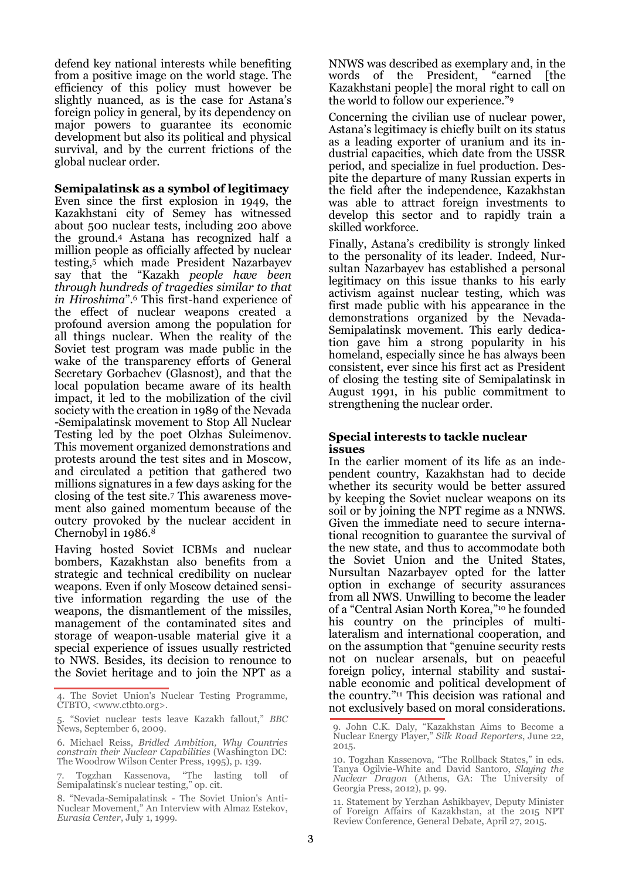defend key national interests while benefiting from a positive image on the world stage. The efficiency of this policy must however be slightly nuanced, as is the case for Astana's foreign policy in general, by its dependency on major powers to guarantee its economic development but also its political and physical survival, and by the current frictions of the global nuclear order.

#### **Semipalatinsk as a symbol of legitimacy**

Even since the first explosion in 1949, the Kazakhstani city of Semey has witnessed about 500 nuclear tests, including 200 above the ground.<sup>4</sup> Astana has recognized half a million people as officially affected by nuclear testing,<sup>5</sup> which made President Nazarbayev say that the "Kazakh *people have been through hundreds of tragedies similar to that in Hiroshima*".<sup>6</sup> This first-hand experience of the effect of nuclear weapons created a profound aversion among the population for all things nuclear. When the reality of the Soviet test program was made public in the wake of the transparency efforts of General Secretary Gorbachev (Glasnost), and that the local population became aware of its health impact, it led to the mobilization of the civil society with the creation in 1989 of the Nevada -Semipalatinsk movement to Stop All Nuclear Testing led by the poet Olzhas Suleimenov. This movement organized demonstrations and protests around the test sites and in Moscow, and circulated a petition that gathered two millions signatures in a few days asking for the closing of the test site.<sup>7</sup> This awareness movement also gained momentum because of the outcry provoked by the nuclear accident in Chernobyl in 1986.<sup>8</sup>

Having hosted Soviet ICBMs and nuclear bombers, Kazakhstan also benefits from a strategic and technical credibility on nuclear weapons. Even if only Moscow detained sensitive information regarding the use of the weapons, the dismantlement of the missiles, management of the contaminated sites and storage of weapon-usable material give it a special experience of issues usually restricted to NWS. Besides, its decision to renounce to the Soviet heritage and to join the NPT as a NNWS was described as exemplary and, in the words of the President, "earned [the Kazakhstani people] the moral right to call on the world to follow our experience." 9

Concerning the civilian use of nuclear power, Astana's legitimacy is chiefly built on its status as a leading exporter of uranium and its industrial capacities, which date from the USSR period, and specialize in fuel production. Despite the departure of many Russian experts in the field after the independence, Kazakhstan was able to attract foreign investments to develop this sector and to rapidly train a skilled workforce.

Finally, Astana's credibility is strongly linked to the personality of its leader. Indeed, Nursultan Nazarbayev has established a personal legitimacy on this issue thanks to his early activism against nuclear testing, which was first made public with his appearance in the demonstrations organized by the Nevada-Semipalatinsk movement. This early dedication gave him a strong popularity in his homeland, especially since he has always been consistent, ever since his first act as President of closing the testing site of Semipalatinsk in August 1991, in his public commitment to strengthening the nuclear order.

#### **Special interests to tackle nuclear issues**

In the earlier moment of its life as an independent country, Kazakhstan had to decide whether its security would be better assured by keeping the Soviet nuclear weapons on its soil or by joining the NPT regime as a NNWS. Given the immediate need to secure international recognition to guarantee the survival of the new state, and thus to accommodate both the Soviet Union and the United States, Nursultan Nazarbayev opted for the latter option in exchange of security assurances from all NWS. Unwilling to become the leader of a "Central Asian North Korea," <sup>10</sup> he founded his country on the principles of multilateralism and international cooperation, and on the assumption that "genuine security rests not on nuclear arsenals, but on peaceful foreign policy, internal stability and sustainable economic and political development of the country." <sup>11</sup> This decision was rational and not exclusively based on moral considerations.

The Soviet Union's Nuclear Testing Programme, CTBTO, <www.ctbto.org>.

<sup>5. &</sup>quot;Soviet nuclear tests leave Kazakh fallout," *BBC*  News, September 6, 2009.

<sup>6.</sup> Michael Reiss, *Bridled Ambition, Why Countries constrain their Nuclear Capabilities* (Washington DC: The Woodrow Wilson Center Press, 1995), p. 139.

<sup>7.</sup> Togzhan Kassenova, "The lasting toll of Semipalatinsk's nuclear testing," op. cit.

<sup>8. &</sup>quot;Nevada-Semipalatinsk - The Soviet Union's Anti-Nuclear Movement," An Interview with Almaz Estekov, *Eurasia Center*, July 1, 1999.

<sup>9.</sup> John C.K. Daly, "Kazakhstan Aims to Become a Nuclear Energy Player," *Silk Road Reporters*, June 22, 2015.

<sup>10.</sup> Togzhan Kassenova, "The Rollback States," in eds. Tanya Ogilvie-White and David Santoro, *Slaying the Nuclear Dragon* (Athens, GA: The University of Georgia Press, 2012), p. 99.

<sup>11.</sup> Statement by Yerzhan Ashikbayev, Deputy Minister of Foreign Affairs of Kazakhstan, at the 2015 NPT Review Conference, General Debate, April 27, 2015.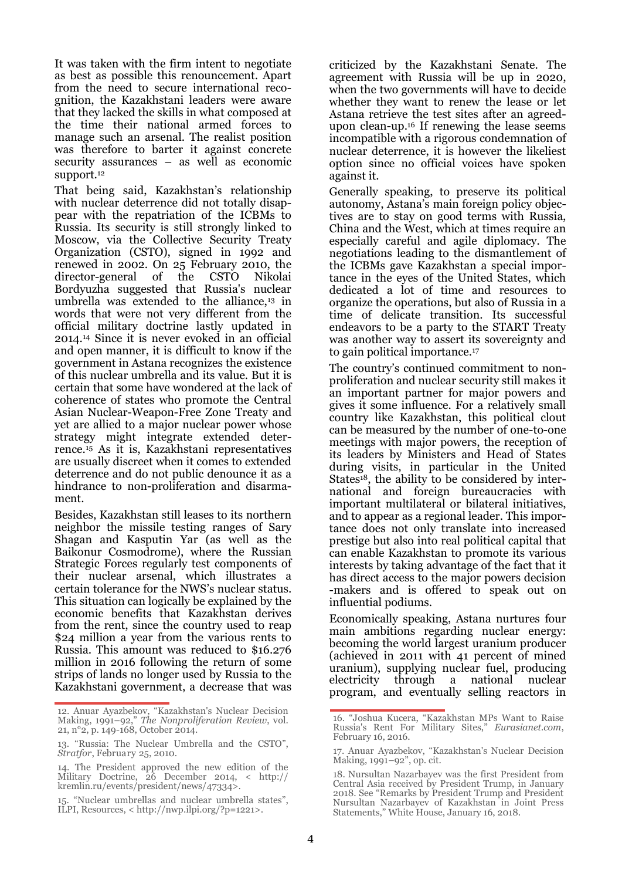It was taken with the firm intent to negotiate as best as possible this renouncement. Apart from the need to secure international recognition, the Kazakhstani leaders were aware that they lacked the skills in what composed at the time their national armed forces to manage such an arsenal. The realist position was therefore to barter it against concrete security assurances – as well as economic support.<sup>12</sup>

That being said, Kazakhstan's relationship with nuclear deterrence did not totally disappear with the repatriation of the ICBMs to Russia. Its security is still strongly linked to Moscow, via the Collective Security Treaty Organization (CSTO), signed in 1992 and renewed in 2002. On 25 February 2010, the director-general of the CSTO Nikolai director-general of the CSTO Bordyuzha suggested that Russia's nuclear umbrella was extended to the alliance, $13$  in words that were not very different from the official military doctrine lastly updated in 2014.<sup>14</sup> Since it is never evoked in an official and open manner, it is difficult to know if the government in Astana recognizes the existence of this nuclear umbrella and its value. But it is certain that some have wondered at the lack of coherence of states who promote the Central Asian Nuclear-Weapon-Free Zone Treaty and yet are allied to a major nuclear power whose strategy might integrate extended deterrence.<sup>15</sup> As it is, Kazakhstani representatives are usually discreet when it comes to extended deterrence and do not public denounce it as a hindrance to non-proliferation and disarmament.

Besides, Kazakhstan still leases to its northern neighbor the missile testing ranges of Sary Shagan and Kasputin Yar (as well as the Baikonur Cosmodrome), where the Russian Strategic Forces regularly test components of their nuclear arsenal, which illustrates a certain tolerance for the NWS's nuclear status. This situation can logically be explained by the economic benefits that Kazakhstan derives from the rent, since the country used to reap \$24 million a year from the various rents to Russia. This amount was reduced to \$16.276 million in 2016 following the return of some strips of lands no longer used by Russia to the Kazakhstani government, a decrease that was

criticized by the Kazakhstani Senate. The agreement with Russia will be up in 2020, when the two governments will have to decide whether they want to renew the lease or let Astana retrieve the test sites after an agreedupon clean-up.<sup>16</sup> If renewing the lease seems incompatible with a rigorous condemnation of nuclear deterrence, it is however the likeliest option since no official voices have spoken against it.

Generally speaking, to preserve its political autonomy, Astana's main foreign policy objectives are to stay on good terms with Russia, China and the West, which at times require an especially careful and agile diplomacy. The negotiations leading to the dismantlement of the ICBMs gave Kazakhstan a special importance in the eyes of the United States, which dedicated a lot of time and resources to organize the operations, but also of Russia in a time of delicate transition. Its successful endeavors to be a party to the START Treaty was another way to assert its sovereignty and to gain political importance.<sup>17</sup>

The country's continued commitment to nonproliferation and nuclear security still makes it an important partner for major powers and gives it some influence. For a relatively small country like Kazakhstan, this political clout can be measured by the number of one-to-one meetings with major powers, the reception of its leaders by Ministers and Head of States during visits, in particular in the United States<sup>18</sup>, the ability to be considered by international and foreign bureaucracies with important multilateral or bilateral initiatives, and to appear as a regional leader. This importance does not only translate into increased prestige but also into real political capital that can enable Kazakhstan to promote its various interests by taking advantage of the fact that it has direct access to the major powers decision -makers and is offered to speak out on influential podiums.

Economically speaking, Astana nurtures four main ambitions regarding nuclear energy: becoming the world largest uranium producer (achieved in 2011 with 41 percent of mined uranium), supplying nuclear fuel, producing electricity through a national nuclear program, and eventually selling reactors in

<sup>12.</sup> Anuar Ayazbekov, "Kazakhstan's Nuclear Decision Making, 1991–92," *The Nonproliferation Review*, vol. 21, n°2, p. 149-168, October 2014.

<sup>13. &</sup>quot;Russia: The Nuclear Umbrella and the CSTO", *Stratfor*, February 25, 2010.

<sup>14.</sup> The President approved the new edition of the Military Doctrine, 26 December 2014, < http:// kremlin.ru/events/president/news/47334>.

<sup>15. &</sup>quot;Nuclear umbrellas and nuclear umbrella states", ILPI, Resources, < http://nwp.ilpi.org/?p=1221>.

<sup>16. &</sup>quot;Joshua Kucera, "Kazakhstan MPs Want to Raise Russia's Rent For Military Sites," *Eurasianet.com*, February 16, 2016.

<sup>17.</sup> Anuar Ayazbekov, "Kazakhstan's Nuclear Decision Making, 1991–92", op. cit.

<sup>18.</sup> Nursultan Nazarbayev was the first President from Central Asia received by President Trump, in January 2018. See "Remarks by President Trump and President Nursultan Nazarbayev of Kazakhstan in Joint Press Statements," White House, January 16, 2018.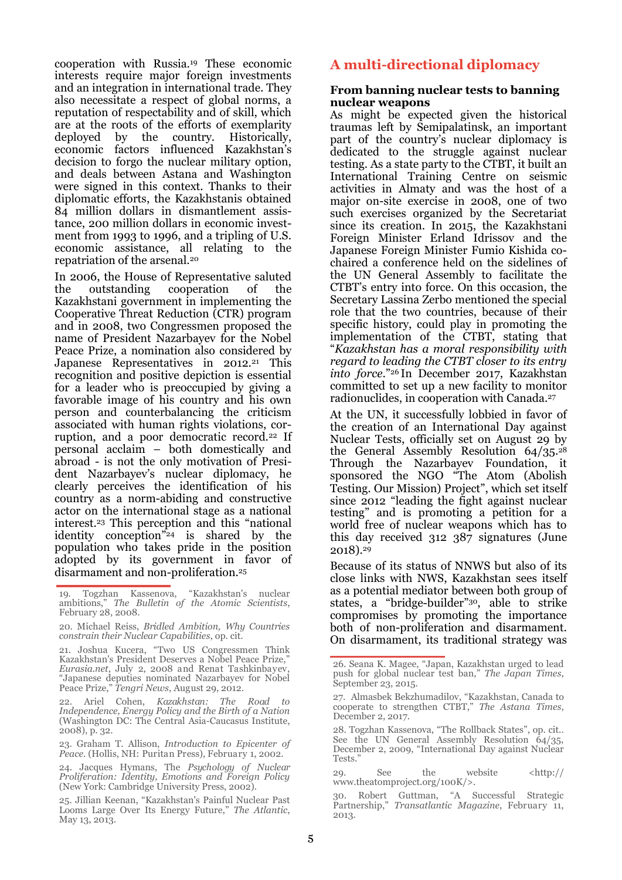cooperation with Russia.<sup>19</sup> These economic interests require major foreign investments and an integration in international trade. They also necessitate a respect of global norms, a reputation of respectability and of skill, which are at the roots of the efforts of exemplarity deployed by the country. Historically, economic factors influenced Kazakhstan's decision to forgo the nuclear military option, and deals between Astana and Washington were signed in this context. Thanks to their diplomatic efforts, the Kazakhstanis obtained 84 million dollars in dismantlement assistance, 200 million dollars in economic investment from 1993 to 1996, and a tripling of U.S. economic assistance, all relating to the repatriation of the arsenal.<sup>20</sup>

In 2006, the House of Representative saluted the outstanding cooperation of the Kazakhstani government in implementing the Cooperative Threat Reduction (CTR) program and in 2008, two Congressmen proposed the name of President Nazarbayev for the Nobel Peace Prize, a nomination also considered by Japanese Representatives in 2012.<sup>21</sup> This recognition and positive depiction is essential for a leader who is preoccupied by giving a favorable image of his country and his own person and counterbalancing the criticism associated with human rights violations, corruption, and a poor democratic record.<sup>22</sup> If personal acclaim – both domestically and abroad - is not the only motivation of President Nazarbayev's nuclear diplomacy, he clearly perceives the identification of his country as a norm-abiding and constructive actor on the international stage as a national interest.<sup>23</sup> This perception and this "national identity conception" <sup>24</sup> is shared by the population who takes pride in the position adopted by its government in favor of disarmament and non-proliferation.<sup>25</sup>

21. Joshua Kucera, "Two US Congressmen Think Kazakhstan's President Deserves a Nobel Peace Prize," *Eurasia.net*, July 2, 2008 and Renat Tashkinbayev, "Japanese deputies nominated Nazarbayev for Nobel Peace Prize," *Tengri News*, August 29, 2012.

22. Ariel Cohen, *Kazakhstan: The Road to Independence, Energy Policy and the Birth of a Nation* (Washington DC: The Central Asia-Caucasus Institute, 2008), p. 32.

23. Graham T. Allison, *Introduction to Epicenter of Peace*. (Hollis, NH: Puritan Press), February 1, 2002.

24. Jacques Hymans, The *Psychology of Nuclear Proliferation: Identity, Emotions and Foreign Policy*  (New York: Cambridge University Press, 2002).

25. Jillian Keenan, "Kazakhstan's Painful Nuclear Past Looms Large Over Its Energy Future," *The Atlantic*, May 13, 2013.

#### **A multi-directional diplomacy**

#### **From banning nuclear tests to banning nuclear weapons**

As might be expected given the historical traumas left by Semipalatinsk, an important part of the country's nuclear diplomacy is dedicated to the struggle against nuclear testing. As a state party to the CTBT, it built an International Training Centre on seismic activities in Almaty and was the host of a major on-site exercise in 2008, one of two such exercises organized by the Secretariat since its creation. In 2015, the Kazakhstani Foreign Minister Erland Idrissov and the Japanese Foreign Minister Fumio Kishida cochaired a conference held on the sidelines of the UN General Assembly to facilitate the CTBT's entry into force. On this occasion, the Secretary Lassina Zerbo mentioned the special role that the two countries, because of their specific history, could play in promoting the implementation of the CTBT, stating that "*Kazakhstan has a moral responsibility with regard to leading the CTBT closer to its entry into force*."26 In December 2017, Kazakhstan committed to set up a new facility to monitor radionuclides, in cooperation with Canada.<sup>27</sup>

At the UN, it successfully lobbied in favor of the creation of an International Day against Nuclear Tests, officially set on August 29 by the General Assembly Resolution  $64/35.^{28}$ Through the Nazarbayev Foundation, it sponsored the NGO "The Atom (Abolish Testing. Our Mission) Project", which set itself since 2012 "leading the fight against nuclear testing" and is promoting a petition for a world free of nuclear weapons which has to this day received  $312$   $387$  signatures (June 2018).<sup>29</sup>

Because of its status of NNWS but also of its close links with NWS, Kazakhstan sees itself as a potential mediator between both group of states, a "bridge-builder" <sup>30</sup>, able to strike compromises by promoting the importance both of non-proliferation and disarmament. On disarmament, its traditional strategy was

26. Seana K. Magee, "Japan, Kazakhstan urged to lead push for global nuclear test ban," *The Japan Times*, September 23, 2015.

27. Almasbek Bekzhumadilov, "Kazakhstan, Canada to cooperate to strengthen CTBT," *The Astana Times*, December 2, 2017.

28. Togzhan Kassenova, "The Rollback States", op. cit.. See the UN General Assembly Resolution  $\frac{64}{35}$ , December 2, 2009, "International Day against Nuclear Tests."

29. See the website <http:// www.theatomproject.org/100K/>.

<sup>19.</sup> Togzhan Kassenova, "Kazakhstan's nuclear ambitions," *The Bulletin of the Atomic Scientists*, February 28, 2008.

<sup>20.</sup> Michael Reiss, *Bridled Ambition, Why Countries constrain their Nuclear Capabilities*, op. cit.

<sup>30.</sup> Robert Guttman, "A Successful Strategic Partnership," *Transatlantic Magazine*, February 11, 2013.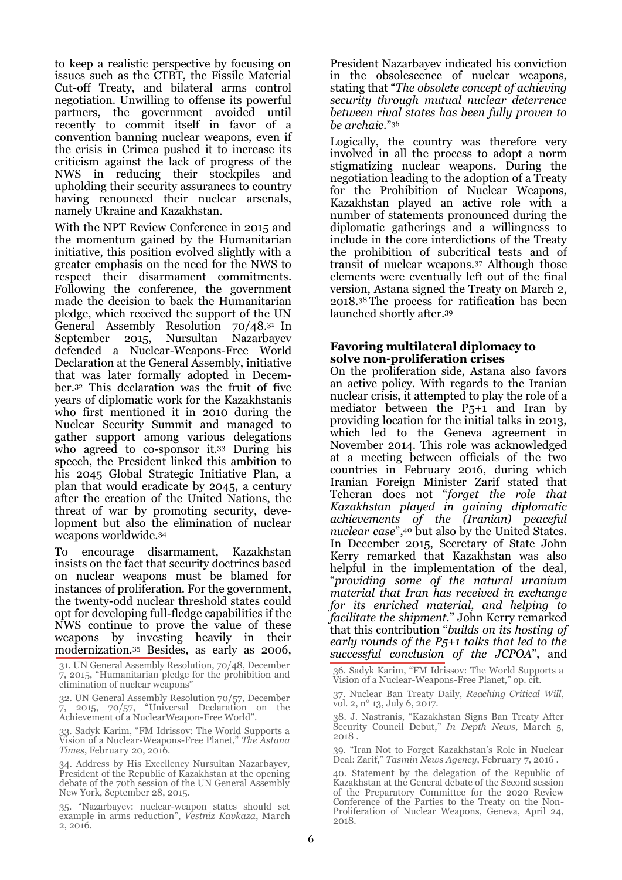to keep a realistic perspective by focusing on issues such as the CTBT, the Fissile Material Cut-off Treaty, and bilateral arms control negotiation. Unwilling to offense its powerful partners, the government avoided until recently to commit itself in favor of a convention banning nuclear weapons, even if the crisis in Crimea pushed it to increase its criticism against the lack of progress of the NWS in reducing their stockpiles and upholding their security assurances to country having renounced their nuclear arsenals, namely Ukraine and Kazakhstan.

With the NPT Review Conference in 2015 and the momentum gained by the Humanitarian initiative, this position evolved slightly with a greater emphasis on the need for the NWS to respect their disarmament commitments. Following the conference, the government made the decision to back the Humanitarian pledge, which received the support of the UN General Assembly Resolution 70/48.31 In September 2015, Nursultan Nazarbayev defended a Nuclear-Weapons-Free World Declaration at the General Assembly, initiative that was later formally adopted in December.<sup>32</sup> This declaration was the fruit of five years of diplomatic work for the Kazakhstanis who first mentioned it in 2010 during the Nuclear Security Summit and managed to gather support among various delegations who agreed to co-sponsor it.<sup>33</sup> During his speech, the President linked this ambition to his 2045 Global Strategic Initiative Plan, a plan that would eradicate by 2045, a century after the creation of the United Nations, the threat of war by promoting security, development but also the elimination of nuclear weapons worldwide.<sup>34</sup>

To encourage disarmament, Kazakhstan insists on the fact that security doctrines based on nuclear weapons must be blamed for instances of proliferation. For the government, the twenty-odd nuclear threshold states could opt for developing full-fledge capabilities if the NWS continue to prove the value of these weapons by investing heavily in their modernization.<sup>35</sup> Besides, as early as 2006,

32. UN General Assembly Resolution 70/57, December  $\frac{7}{7}$ , 2015,  $\frac{70}{57}$ , "Universal Declaration on the Achievement of a NuclearWeapon-Free World".

33. Sadyk Karim, "FM Idrissov: The World Supports a Vision of a Nuclear-Weapons-Free Planet," *The Astana Times*, February 20, 2016.

34. Address by His Excellency Nursultan Nazarbayev, President of the Republic of Kazakhstan at the opening debate of the 70th session of the UN General Assembly New York, September 28, 2015.

35. "Nazarbayev: nuclear-weapon states should set example in arms reduction", *Vestniz Kavkaza*, March 2, 2016.

President Nazarbayev indicated his conviction in the obsolescence of nuclear weapons, stating that "*The obsolete concept of achieving security through mutual nuclear deterrence between rival states has been fully proven to be archaic*."<sup>36</sup>

Logically, the country was therefore very involved in all the process to adopt a norm stigmatizing nuclear weapons. During the negotiation leading to the adoption of a Treaty for the Prohibition of Nuclear Weapons, Kazakhstan played an active role with a number of statements pronounced during the diplomatic gatherings and a willingness to include in the core interdictions of the Treaty the prohibition of subcritical tests and of transit of nuclear weapons.<sup>37</sup> Although those elements were eventually left out of the final version, Astana signed the Treaty on March 2, 2018.38 The process for ratification has been launched shortly after.<sup>39</sup>

#### **Favoring multilateral diplomacy to solve non-proliferation crises**

On the proliferation side, Astana also favors an active policy. With regards to the Iranian nuclear crisis, it attempted to play the role of a mediator between the P5+1 and Iran by providing location for the initial talks in 2013, which led to the Geneva agreement in November 2014. This role was acknowledged at a meeting between officials of the two countries in February 2016, during which Iranian Foreign Minister Zarif stated that Teheran does not "*forget the role that Kazakhstan played in gaining diplomatic achievements of the (Iranian) peaceful nuclear case*",<sup>40</sup> but also by the United States. In December 2015, Secretary of State John Kerry remarked that Kazakhstan was also helpful in the implementation of the deal, "*providing some of the natural uranium material that Iran has received in exchange for its enriched material, and helping to facilitate the shipment*." John Kerry remarked that this contribution "*builds on its hosting of early rounds of the P5+1 talks that led to the successful conclusion of the JCPOA*", and

36. Sadyk Karim, "FM Idrissov: The World Supports a Vision of a Nuclear-Weapons-Free Planet," op. cit.

37. Nuclear Ban Treaty Daily, *Reaching Critical Will*, vol. 2, n° 13, July 6, 2017.

38. J. Nastranis, "Kazakhstan Signs Ban Treaty After Security Council Debut," *In Depth News*, March 5, 2018 .

39. "Iran Not to Forget Kazakhstan's Role in Nuclear Deal: Zarif," *Tasmin News Agency*, February 7, 2016 .

40. Statement by the delegation of the Republic of Kazakhstan at the General debate of the Second session of the Preparatory Committee for the 2020 Review Conference of the Parties to the Treaty on the Non-Proliferation of Nuclear Weapons, Geneva, April 24, 2018.

<sup>31.</sup> UN General Assembly Resolution, 70/48, December 7, 2015, "Humanitarian pledge for the prohibition and elimination of nuclear weapons"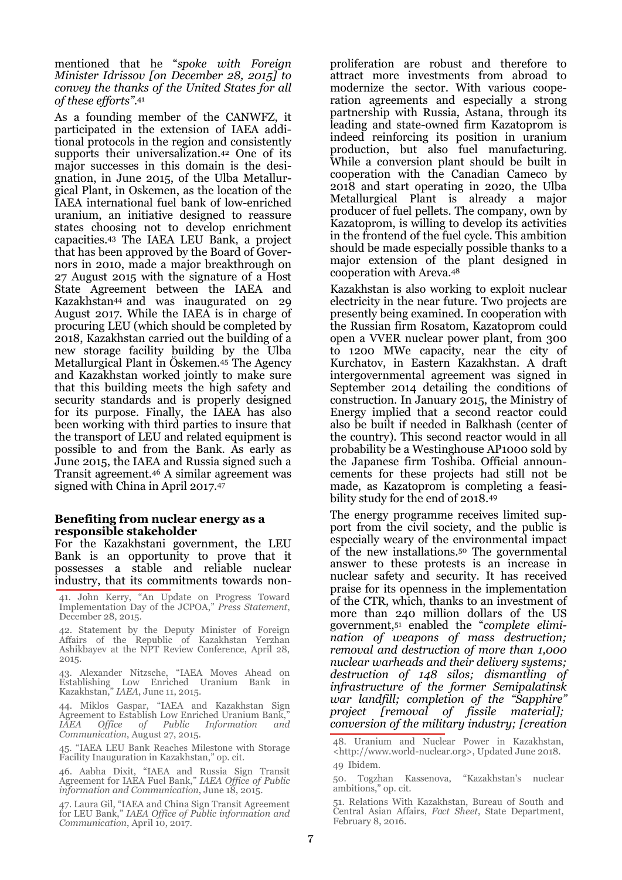mentioned that he "*spoke with Foreign Minister Idrissov [on December 28, 2015] to convey the thanks of the United States for all of these efforts"*. 41

As a founding member of the CANWFZ, it participated in the extension of IAEA additional protocols in the region and consistently supports their universalization.<sup>42</sup> One of its major successes in this domain is the designation, in June 2015, of the Ulba Metallurgical Plant, in Oskemen, as the location of the IAEA international fuel bank of low-enriched uranium, an initiative designed to reassure states choosing not to develop enrichment capacities.<sup>43</sup> The IAEA LEU Bank, a project that has been approved by the Board of Governors in 2010, made a major breakthrough on 27 August 2015 with the signature of a Host State Agreement between the IAEA and Kazakhstan44 and was inaugurated on 29 August 2017. While the IAEA is in charge of procuring LEU (which should be completed by 2018, Kazakhstan carried out the building of a new storage facility building by the Ulba Metallurgical Plant in Öskemen.<sup>45</sup> The Agency and Kazakhstan worked jointly to make sure that this building meets the high safety and security standards and is properly designed for its purpose. Finally, the IAEA has also been working with third parties to insure that the transport of LEU and related equipment is possible to and from the Bank. As early as June 2015, the IAEA and Russia signed such a Transit agreement.<sup>46</sup> A similar agreement was signed with China in April 2017.<sup>47</sup>

#### **Benefiting from nuclear energy as a responsible stakeholder**

For the Kazakhstani government, the LEU Bank is an opportunity to prove that it possesses a stable and reliable nuclear industry, that its commitments towards non-

41. John Kerry, "An Update on Progress Toward Implementation Day of the JCPOA," *Press Statement*, December 28, 2015.

42. Statement by the Deputy Minister of Foreign Affairs of the Republic of Kazakhstan Yerzhan Ashikbayev at the NPT Review Conference, April 28, 2015.

43. Alexander Nitzsche, "IAEA Moves Ahead on Establishing Low Enriched Uranium Bank in Kazakhstan," *IAEA*, June 11, 2015.

44. Miklos Gaspar, "IAEA and Kazakhstan Sign Agreement to Establish Low Enriched Uranium Bank, *IAEA Office of Public Information and Communication*, August 27, 2015.

45. "IAEA LEU Bank Reaches Milestone with Storage Facility Inauguration in Kazakhstan," op. cit.

46. Aabha Dixit, "IAEA and Russia Sign Transit Agreement for IAEA Fuel Bank," *IAEA Office of Public information and Communication*, June 18, 2015.

47. Laura Gil, "IAEA and China Sign Transit Agreement for LEU Bank," *IAEA Office of Public information and Communication*, April 10, 2017.

proliferation are robust and therefore to attract more investments from abroad to modernize the sector. With various cooperation agreements and especially a strong partnership with Russia, Astana, through its leading and state-owned firm Kazatoprom is indeed reinforcing its position in uranium production, but also fuel manufacturing. While a conversion plant should be built in cooperation with the Canadian Cameco by 2018 and start operating in 2020, the Ulba Metallurgical Plant is already a major producer of fuel pellets. The company, own by Kazatoprom, is willing to develop its activities in the frontend of the fuel cycle. This ambition should be made especially possible thanks to a major extension of the plant designed in cooperation with Areva.<sup>48</sup>

Kazakhstan is also working to exploit nuclear electricity in the near future. Two projects are presently being examined. In cooperation with the Russian firm Rosatom, Kazatoprom could open a VVER nuclear power plant, from 300 to 1200 MWe capacity, near the city of Kurchatov, in Eastern Kazakhstan. A draft intergovernmental agreement was signed in September 2014 detailing the conditions of construction. In January 2015, the Ministry of Energy implied that a second reactor could also be built if needed in Balkhash (center of the country). This second reactor would in all probability be a Westinghouse AP1000 sold by the Japanese firm Toshiba. Official announcements for these projects had still not be made, as Kazatoprom is completing a feasibility study for the end of 2018.<sup>49</sup>

The energy programme receives limited support from the civil society, and the public is especially weary of the environmental impact of the new installations.<sup>50</sup> The governmental answer to these protests is an increase in nuclear safety and security. It has received praise for its openness in the implementation of the CTR, which, thanks to an investment of more than 240 million dollars of the US government,<sup>51</sup> enabled the "*complete elimination of weapons of mass destruction; removal and destruction of more than 1,000 nuclear warheads and their delivery systems; destruction of 148 silos; dismantling of infrastructure of the former Semipalatinsk war landfill; completion of the "Sapphire" project [removal of fissile material]; conversion of the military industry; [creation* 

<sup>48.</sup> Uranium and Nuclear Power in Kazakhstan, <http://www.world-nuclear.org>, Updated June 2018. 49 Ibidem.

<sup>50.</sup> Togzhan Kassenova, "Kazakhstan's nuclear ambitions," op. cit.

<sup>51.</sup> Relations With Kazakhstan, Bureau of South and Central Asian Affairs, *Fact Sheet*, State Department, February 8, 2016.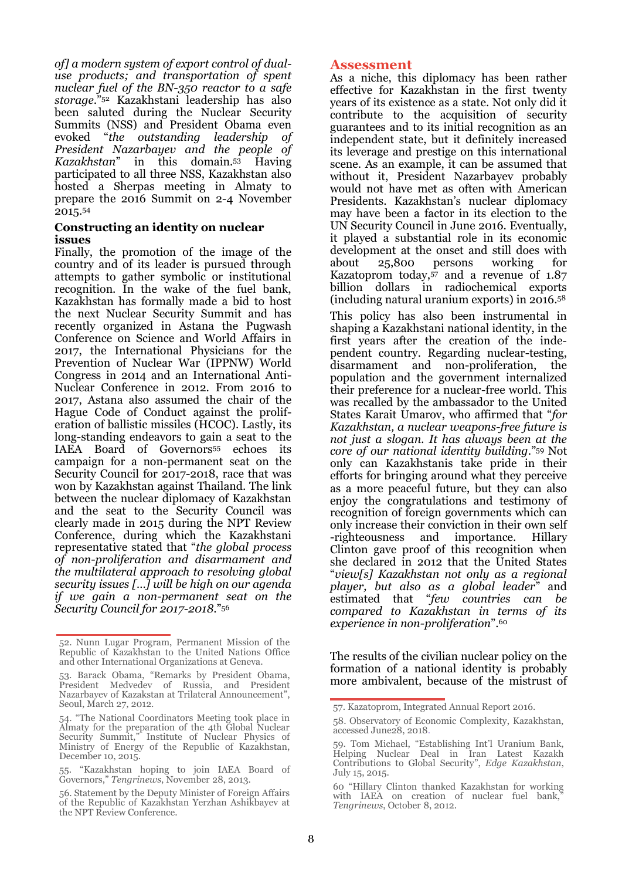*of] a modern system of export control of dualuse products; and transportation of spent nuclear fuel of the BN-350 reactor to a safe storage*."<sup>52</sup> Kazakhstani leadership has also been saluted during the Nuclear Security Summits (NSS) and President Obama even evoked "*the outstanding leadership of President Nazarbayev and the people of Kazakhstan*" in this domain.<sup>53</sup> Having participated to all three NSS, Kazakhstan also hosted a Sherpas meeting in Almaty to prepare the 2016 Summit on 2-4 November 2015.<sup>54</sup>

#### **Constructing an identity on nuclear issues**

Finally, the promotion of the image of the country and of its leader is pursued through attempts to gather symbolic or institutional recognition. In the wake of the fuel bank, Kazakhstan has formally made a bid to host the next Nuclear Security Summit and has recently organized in Astana the Pugwash Conference on Science and World Affairs in 2017, the International Physicians for the Prevention of Nuclear War (IPPNW) World Congress in 2014 and an International Anti-Nuclear Conference in 2012. From 2016 to 2017, Astana also assumed the chair of the Hague Code of Conduct against the proliferation of ballistic missiles (HCOC). Lastly, its long-standing endeavors to gain a seat to the IAEA Board of Governors<sup>55</sup> echoes its campaign for a non-permanent seat on the Security Council for 2017-2018, race that was won by Kazakhstan against Thailand. The link between the nuclear diplomacy of Kazakhstan and the seat to the Security Council was clearly made in 2015 during the NPT Review Conference, during which the Kazakhstani representative stated that "*the global process of non-proliferation and disarmament and the multilateral approach to resolving global security issues […] will be high on our agenda if we gain a non-permanent seat on the Security Council for 2017-2018*."<sup>56</sup>

#### **Assessment**

As a niche, this diplomacy has been rather effective for Kazakhstan in the first twenty years of its existence as a state. Not only did it contribute to the acquisition of security guarantees and to its initial recognition as an independent state, but it definitely increased its leverage and prestige on this international scene. As an example, it can be assumed that without it, President Nazarbayev probably would not have met as often with American Presidents. Kazakhstan's nuclear diplomacy may have been a factor in its election to the UN Security Council in June 2016. Eventually, it played a substantial role in its economic development at the onset and still does with about 25,800 persons working for Kazatoprom today,<sup>57</sup> and a revenue of 1.87 billion dollars in radiochemical exports (including natural uranium exports) in 2016.<sup>58</sup>

This policy has also been instrumental in shaping a Kazakhstani national identity, in the first years after the creation of the independent country. Regarding nuclear-testing, disarmament and non-proliferation, the population and the government internalized their preference for a nuclear-free world. This was recalled by the ambassador to the United States Karait Umarov, who affirmed that "*for Kazakhstan, a nuclear weapons-free future is not just a slogan. It has always been at the core of our national identity building*."<sup>59</sup> Not only can Kazakhstanis take pride in their efforts for bringing around what they perceive as a more peaceful future, but they can also enjoy the congratulations and testimony of recognition of foreign governments which can only increase their conviction in their own self -righteousness and importance. Hillary Clinton gave proof of this recognition when she declared in 2012 that the United States "*view[s] Kazakhstan not only as a regional player, but also as a global leader*" and estimated that "*few countries can be compared to Kazakhstan in terms of its experience in non-proliferation*".<sup>60</sup>

The results of the civilian nuclear policy on the formation of a national identity is probably more ambivalent, because of the mistrust of

<sup>52.</sup> Nunn Lugar Program, Permanent Mission of the Republic of Kazakhstan to the United Nations Office and other International Organizations at Geneva.

<sup>53.</sup> Barack Obama, "Remarks by President Obama, President Medvedev of Russia, and President Nazarbayev of Kazakstan at Trilateral Announcement", Seoul, March 27, 2012.

<sup>54. &</sup>quot;The National Coordinators Meeting took place in Almaty for the preparation of the 4th Global Nuclear Security Summit," Institute of Nuclear Physics of Ministry of Energy of the Republic of Kazakhstan, December 10, 2015.

<sup>55. &</sup>quot;Kazakhstan hoping to join IAEA Board of Governors," *Tengrinews*, November 28, 2013.

<sup>56.</sup> Statement by the Deputy Minister of Foreign Affairs of the Republic of Kazakhstan Yerzhan Ashikbayev at the NPT Review Conference.

<sup>57.</sup> Kazatoprom, Integrated Annual Report 2016.

<sup>58.</sup> Observatory of Economic Complexity, Kazakhstan, accessed June28, 2018.

<sup>59.</sup> Tom Michael, "Establishing Int'l Uranium Bank, Helping Nuclear Deal in Iran Latest Kazakh Contributions to Global Security", *Edge Kazakhstan*, July 15, 2015.

<sup>60 &</sup>quot;Hillary Clinton thanked Kazakhstan for working with IAEA on creation of nuclear fuel bank, *Tengrinews*, October 8, 2012.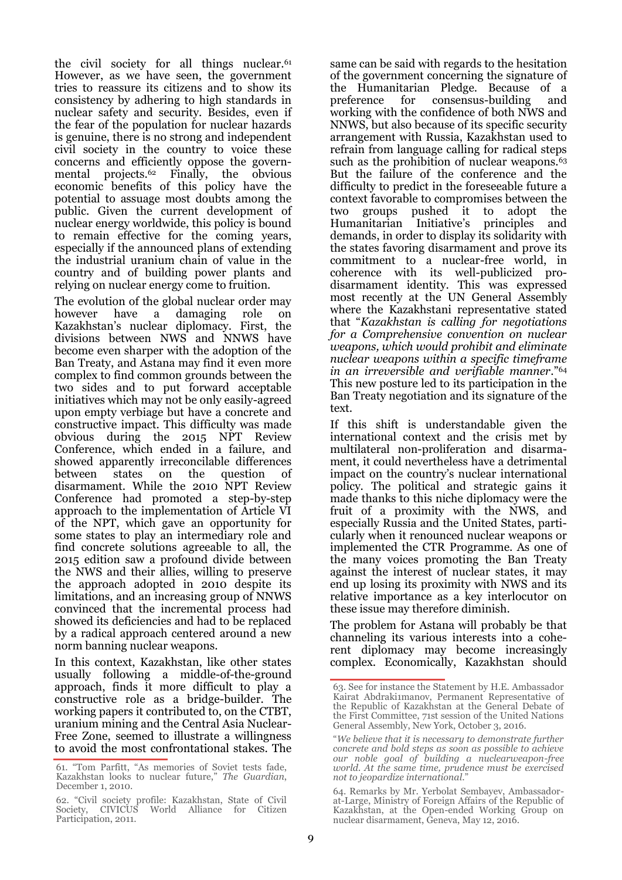the civil society for all things nuclear.<sup>61</sup> However, as we have seen, the government tries to reassure its citizens and to show its consistency by adhering to high standards in nuclear safety and security. Besides, even if the fear of the population for nuclear hazards is genuine, there is no strong and independent civil society in the country to voice these concerns and efficiently oppose the governmental projects.<sup>62</sup> Finally, the obvious economic benefits of this policy have the potential to assuage most doubts among the public. Given the current development of nuclear energy worldwide, this policy is bound to remain effective for the coming years, especially if the announced plans of extending the industrial uranium chain of value in the country and of building power plants and relying on nuclear energy come to fruition.

The evolution of the global nuclear order may however have a damaging role on Kazakhstan's nuclear diplomacy. First, the divisions between NWS and NNWS have become even sharper with the adoption of the Ban Treaty, and Astana may find it even more complex to find common grounds between the two sides and to put forward acceptable initiatives which may not be only easily-agreed upon empty verbiage but have a concrete and constructive impact. This difficulty was made obvious during the 2015 NPT Review Conference, which ended in a failure, and showed apparently irreconcilable differences between states on the question of disarmament. While the 2010 NPT Review Conference had promoted a step-by-step approach to the implementation of Article VI of the NPT, which gave an opportunity for some states to play an intermediary role and find concrete solutions agreeable to all, the 2015 edition saw a profound divide between the NWS and their allies, willing to preserve the approach adopted in 2010 despite its limitations, and an increasing group of NNWS convinced that the incremental process had showed its deficiencies and had to be replaced by a radical approach centered around a new norm banning nuclear weapons.

In this context, Kazakhstan, like other states usually following a middle-of-the-ground approach, finds it more difficult to play a constructive role as a bridge-builder. The working papers it contributed to, on the CTBT, uranium mining and the Central Asia Nuclear-Free Zone, seemed to illustrate a willingness to avoid the most confrontational stakes. The

same can be said with regards to the hesitation of the government concerning the signature of the Humanitarian Pledge. Because of a preference for consensus-building and working with the confidence of both NWS and NNWS, but also because of its specific security arrangement with Russia, Kazakhstan used to refrain from language calling for radical steps such as the prohibition of nuclear weapons.<sup>63</sup> But the failure of the conference and the difficulty to predict in the foreseeable future a context favorable to compromises between the two groups pushed it to adopt the Humanitarian Initiative's principles and demands, in order to display its solidarity with the states favoring disarmament and prove its commitment to a nuclear-free world, in coherence with its well-publicized prodisarmament identity. This was expressed most recently at the UN General Assembly where the Kazakhstani representative stated that "*Kazakhstan is calling for negotiations for a Comprehensive convention on nuclear weapons, which would prohibit and eliminate nuclear weapons within a specific timeframe in an irreversible and verifiable manner*."<sup>64</sup> This new posture led to its participation in the Ban Treaty negotiation and its signature of the text.

If this shift is understandable given the international context and the crisis met by multilateral non-proliferation and disarmament, it could nevertheless have a detrimental impact on the country's nuclear international policy. The political and strategic gains it made thanks to this niche diplomacy were the fruit of a proximity with the NWS, and especially Russia and the United States, particularly when it renounced nuclear weapons or implemented the CTR Programme. As one of the many voices promoting the Ban Treaty against the interest of nuclear states, it may end up losing its proximity with NWS and its relative importance as a key interlocutor on these issue may therefore diminish.

The problem for Astana will probably be that channeling its various interests into a coherent diplomacy may become increasingly complex. Economically, Kazakhstan should

<sup>61. &</sup>quot;Tom Parfitt, "As memories of Soviet tests fade, Kazakhstan looks to nuclear future," *The Guardian*, December 1, 2010.

<sup>62. &</sup>quot;Civil society profile: Kazakhstan, State of Civil Society, CIVICUS World Alliance for Citizen Participation, 2011.

<sup>63.</sup> See for instance the Statement by H.E. Ambassador Kairat Abdraki1manov, Permanent Representative of the Republic of Kazakhstan at the General Debate of the First Committee, 71st session of the United Nations General Assembly, New York, October 3, 2016.

<sup>&</sup>quot;*We believe that it is necessary to demonstrate further concrete and bold steps as soon as possible to achieve our noble goal of building a nuclearweapon-free world. At the same time, prudence must be exercised not to jeopardize international*."

<sup>64.</sup> Remarks by Mr. Yerbolat Sembayev, Ambassadorat-Large, Ministry of Foreign Affairs of the Republic of Kazakhstan, at the Open-ended Working Group on nuclear disarmament, Geneva, May 12, 2016.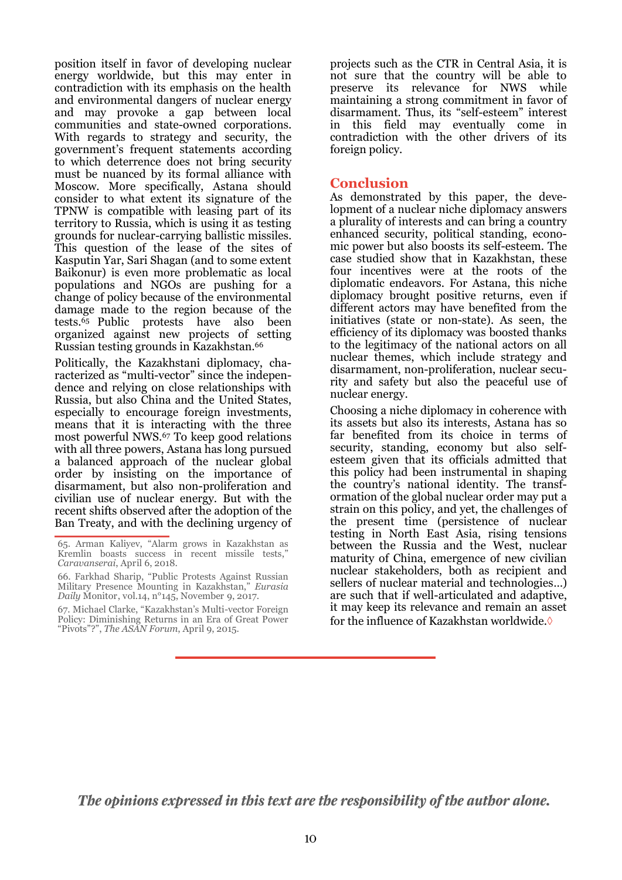position itself in favor of developing nuclear energy worldwide, but this may enter in contradiction with its emphasis on the health and environmental dangers of nuclear energy and may provoke a gap between local communities and state-owned corporations. With regards to strategy and security, the government's frequent statements according to which deterrence does not bring security must be nuanced by its formal alliance with Moscow. More specifically, Astana should consider to what extent its signature of the TPNW is compatible with leasing part of its territory to Russia, which is using it as testing grounds for nuclear-carrying ballistic missiles. This question of the lease of the sites of Kasputin Yar, Sari Shagan (and to some extent Baikonur) is even more problematic as local populations and NGOs are pushing for a change of policy because of the environmental damage made to the region because of the tests.65 Public protests have also been organized against new projects of setting Russian testing grounds in Kazakhstan.<sup>66</sup>

Politically, the Kazakhstani diplomacy, characterized as "multi-vector" since the independence and relying on close relationships with Russia, but also China and the United States, especially to encourage foreign investments, means that it is interacting with the three most powerful NWS.<sup>67</sup> To keep good relations with all three powers, Astana has long pursued a balanced approach of the nuclear global order by insisting on the importance of disarmament, but also non-proliferation and civilian use of nuclear energy. But with the recent shifts observed after the adoption of the Ban Treaty, and with the declining urgency of projects such as the CTR in Central Asia, it is not sure that the country will be able to preserve its relevance for NWS while maintaining a strong commitment in favor of disarmament. Thus, its "self-esteem" interest in this field may eventually come in contradiction with the other drivers of its foreign policy.

#### **Conclusion**

As demonstrated by this paper, the development of a nuclear niche diplomacy answers a plurality of interests and can bring a country enhanced security, political standing, economic power but also boosts its self-esteem. The case studied show that in Kazakhstan, these four incentives were at the roots of the diplomatic endeavors. For Astana, this niche diplomacy brought positive returns, even if different actors may have benefited from the initiatives (state or non-state). As seen, the efficiency of its diplomacy was boosted thanks to the legitimacy of the national actors on all nuclear themes, which include strategy and disarmament, non-proliferation, nuclear security and safety but also the peaceful use of nuclear energy.

Choosing a niche diplomacy in coherence with its assets but also its interests, Astana has so far benefited from its choice in terms of security, standing, economy but also selfesteem given that its officials admitted that this policy had been instrumental in shaping the country's national identity. The transformation of the global nuclear order may put a strain on this policy, and yet, the challenges of the present time (persistence of nuclear testing in North East Asia, rising tensions between the Russia and the West, nuclear maturity of China, emergence of new civilian nuclear stakeholders, both as recipient and sellers of nuclear material and technologies…) are such that if well-articulated and adaptive, it may keep its relevance and remain an asset for the influence of Kazakhstan worldwide.

The opinions expressed in this text are the responsibility of the author alone.

<sup>65.</sup> Arman Kaliyev, "Alarm grows in Kazakhstan as Kremlin boasts success in recent missile tests," *Caravanserai*, April 6, 2018.

<sup>66.</sup> Farkhad Sharip, "Public Protests Against Russian Military Presence Mounting in Kazakhstan," *Eurasia Daily* Monitor, vol.14, n°145, November 9, 2017.

<sup>67.</sup> Michael Clarke, "Kazakhstan's Multi-vector Foreign Policy: Diminishing Returns in an Era of Great Power "Pivots"?", *The ASAN Forum*, April 9, 2015.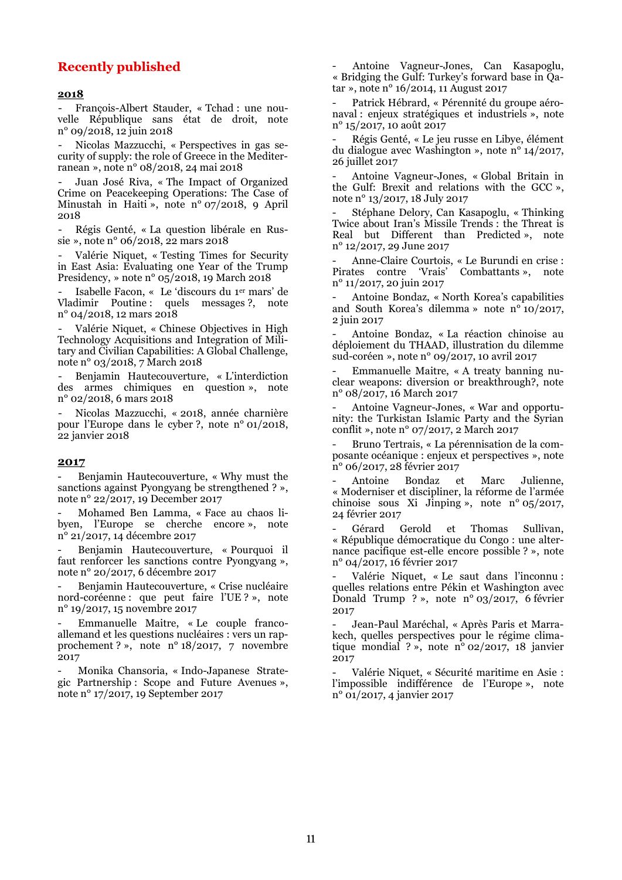#### **Recently published**

#### **2018**

- François-Albert Stauder, « Tchad : une nouvelle République sans état de droit, note n° 09/2018, 12 juin 2018

- Nicolas Mazzucchi, « Perspectives in gas security of supply: the role of Greece in the Mediterranean », note n° 08/2018, 24 mai 2018

- Juan José Riva, « The Impact of Organized Crime on Peacekeeping Operations: The Case of Minustah in Haiti », note n° 07/2018, 9 April 2018

- Régis Genté, « La question libérale en Russie », note n° 06/2018, 22 mars 2018

- Valérie Niquet, « Testing Times for Security in East Asia: Evaluating one Year of the Trump Presidency, » note n° 05/2018, 19 March 2018

- Isabelle Facon, « Le 'discours du 1er mars' de Vladimir Poutine : quels messages ?, note n° 04/2018, 12 mars 2018

Valérie Niquet, « Chinese Objectives in High Technology Acquisitions and Integration of Military and Civilian Capabilities: A Global Challenge, note n° 03/2018, 7 March 2018

- Benjamin Hautecouverture, « L'interdiction des armes chimiques en question », note n° 02/2018, 6 mars 2018

- Nicolas Mazzucchi, « 2018, année charnière pour l'Europe dans le cyber ?, note n° 01/2018, 22 janvier 2018

#### **2017**

- Benjamin Hautecouverture, « Why must the sanctions against Pyongyang be strengthened ? », note n° 22/2017, 19 December 2017

- Mohamed Ben Lamma, « Face au chaos libyen, l'Europe se cherche encore », note n° 21/2017, 14 décembre 2017

- Benjamin Hautecouverture, « Pourquoi il faut renforcer les sanctions contre Pyongyang », note n° 20/2017, 6 décembre 2017

Benjamin Hautecouverture, « Crise nucléaire nord-coréenne : que peut faire l'UE ? », note n° 19/2017, 15 novembre 2017

- Emmanuelle Maitre, « Le couple francoallemand et les questions nucléaires : vers un rapprochement ? », note n° 18/2017, 7 novembre 2017

- Monika Chansoria, « Indo-Japanese Strategic Partnership : Scope and Future Avenues », note n° 17/2017, 19 September 2017

- Antoine Vagneur-Jones, Can Kasapoglu, « Bridging the Gulf: Turkey's forward base in Qatar », note n° 16/2014, 11 August 2017

- Patrick Hébrard, « Pérennité du groupe aéronaval : enjeux stratégiques et industriels », note n° 15/2017, 10 août 2017

- Régis Genté, « Le jeu russe en Libye, élément du dialogue avec Washington », note n° 14/2017, 26 juillet 2017

- Antoine Vagneur-Jones, « Global Britain in the Gulf: Brexit and relations with the GCC », note n° 13/2017, 18 July 2017

- Stéphane Delory, Can Kasapoglu, « Thinking Twice about Iran's Missile Trends : the Threat is Real but Different than Predicted », note n° 12/2017, 29 June 2017

- Anne-Claire Courtois, « Le Burundi en crise : Pirates contre 'Vrais' Combattants », note n° 11/2017, 20 juin 2017

- Antoine Bondaz, « North Korea's capabilities and South Korea's dilemma » note n° 10/2017, 2 juin 2017

- Antoine Bondaz, « La réaction chinoise au déploiement du THAAD, illustration du dilemme sud-coréen », note n° 09/2017, 10 avril 2017

- Emmanuelle Maitre, « A treaty banning nuclear weapons: diversion or breakthrough?, note n° 08/2017, 16 March 2017

- Antoine Vagneur-Jones, « War and opportunity: the Turkistan Islamic Party and the Syrian conflit », note n° 07/2017, 2 March 2017

- Bruno Tertrais, « La pérennisation de la composante océanique : enjeux et perspectives », note n° 06/2017, 28 février 2017

- Antoine Bondaz et Marc Julienne, « Moderniser et discipliner, la réforme de l'armée chinoise sous Xi Jinping », note n° 05/2017, 24 février 2017

- Gérard Gerold et Thomas Sullivan, « République démocratique du Congo : une alternance pacifique est-elle encore possible ? », note n° 04/2017, 16 février 2017

Valérie Niquet, « Le saut dans l'inconnu : quelles relations entre Pékin et Washington avec Donald Trump ? », note n° 03/2017, 6 février 2017

- Jean-Paul Maréchal, « Après Paris et Marrakech, quelles perspectives pour le régime climatique mondial ? », note n° 02/2017, 18 janvier 2017

- Valérie Niquet, « Sécurité maritime en Asie : l'impossible indifférence de l'Europe », note n° 01/2017, 4 janvier 2017